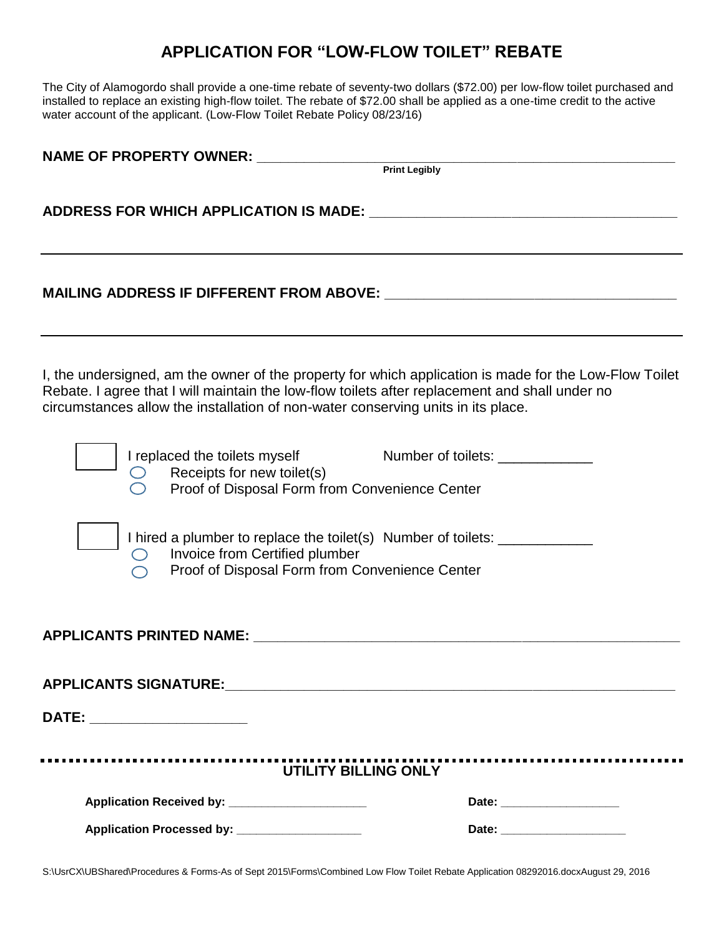## **APPLICATION FOR "LOW-FLOW TOILET" REBATE**

The City of Alamogordo shall provide a one-time rebate of seventy-two dollars (\$72.00) per low-flow toilet purchased and installed to replace an existing high-flow toilet. The rebate of \$72.00 shall be applied as a one-time credit to the active water account of the applicant. (Low-Flow Toilet Rebate Policy 08/23/16)

| NAME OF PROPERTY OWNER: NAME OF PROPERTY OWNER:                                                                                                                                    |                                                                                                        |  |
|------------------------------------------------------------------------------------------------------------------------------------------------------------------------------------|--------------------------------------------------------------------------------------------------------|--|
|                                                                                                                                                                                    | Print Legibly                                                                                          |  |
|                                                                                                                                                                                    |                                                                                                        |  |
|                                                                                                                                                                                    |                                                                                                        |  |
| Rebate. I agree that I will maintain the low-flow toilets after replacement and shall under no<br>circumstances allow the installation of non-water conserving units in its place. | I, the undersigned, am the owner of the property for which application is made for the Low-Flow Toilet |  |
| $\bigcirc$ Receipts for new toilet(s)<br>Proof of Disposal Form from Convenience Center                                                                                            | I replaced the toilets myself Number of toilets: _______________                                       |  |
| $\bigcirc$ Invoice from Certified plumber<br>Proof of Disposal Form from Convenience Center                                                                                        | I hired a plumber to replace the toilet(s) Number of toilets: __________________                       |  |
| APPLICANTS PRINTED NAME: NAME: NAME AND A SERIES OF STREET AND A SERIES OF STREET AND A SERIES OF STREET AND A                                                                     |                                                                                                        |  |
|                                                                                                                                                                                    |                                                                                                        |  |
| DATE: ______________________                                                                                                                                                       |                                                                                                        |  |
|                                                                                                                                                                                    |                                                                                                        |  |
| Application Received by: _____________________                                                                                                                                     |                                                                                                        |  |
| Application Processed by: ____________________                                                                                                                                     | Date: _______________________                                                                          |  |
|                                                                                                                                                                                    |                                                                                                        |  |